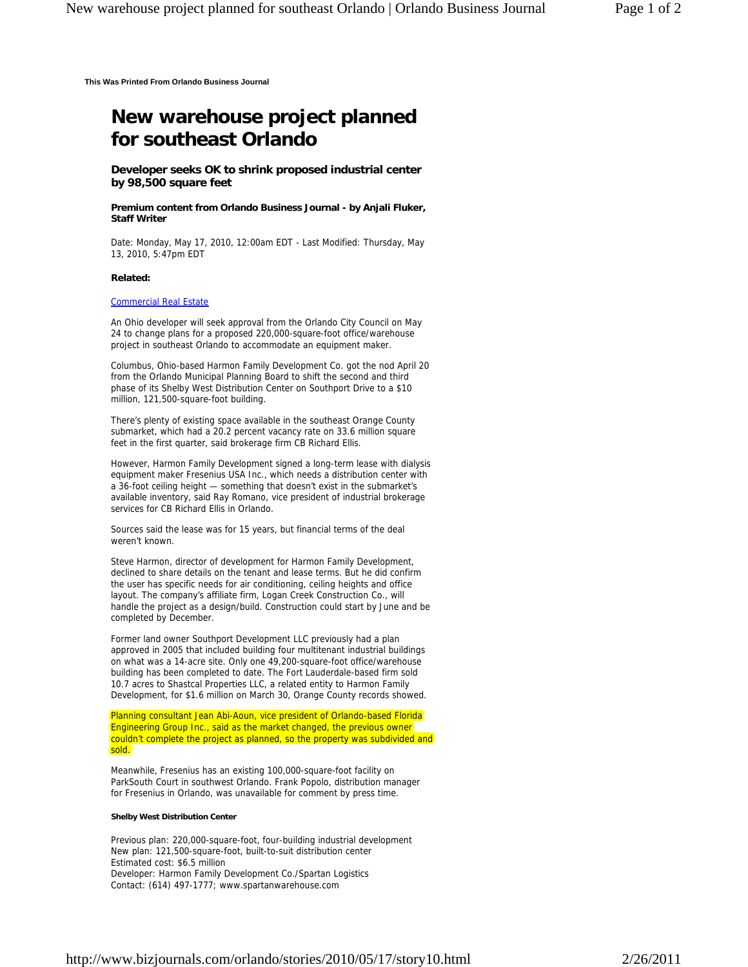**This Was Printed From Orlando Business Journal**

## **New warehouse project planned for southeast Orlando**

**Developer seeks OK to shrink proposed industrial center by 98,500 square feet**

**Premium content from Orlando Business Journal - by Anjali Fluker, Staff Writer** 

Date: Monday, May 17, 2010, 12:00am EDT - Last Modified: Thursday, May 13, 2010, 5:47pm EDT

## **Related:**

## Commercial Real Estate

An Ohio developer will seek approval from the Orlando City Council on May 24 to change plans for a proposed 220,000-square-foot office/warehouse project in southeast Orlando to accommodate an equipment maker.

Columbus, Ohio-based Harmon Family Development Co. got the nod April 20 from the Orlando Municipal Planning Board to shift the second and third phase of its Shelby West Distribution Center on Southport Drive to a \$10 million, 121,500-square-foot building.

There's plenty of existing space available in the southeast Orange County submarket, which had a 20.2 percent vacancy rate on 33.6 million square feet in the first quarter, said brokerage firm CB Richard Ellis.

However, Harmon Family Development signed a long-term lease with dialysis equipment maker Fresenius USA Inc., which needs a distribution center with a 36-foot ceiling height — something that doesn't exist in the submarket's available inventory, said Ray Romano, vice president of industrial brokerage services for CB Richard Ellis in Orlando.

Sources said the lease was for 15 years, but financial terms of the deal weren't known.

Steve Harmon, director of development for Harmon Family Development, declined to share details on the tenant and lease terms. But he did confirm the user has specific needs for air conditioning, ceiling heights and office layout. The company's affiliate firm, Logan Creek Construction Co., will handle the project as a design/build. Construction could start by June and be completed by December.

Former land owner Southport Development LLC previously had a plan approved in 2005 that included building four multitenant industrial buildings on what was a 14-acre site. Only one 49,200-square-foot office/warehouse building has been completed to date. The Fort Lauderdale-based firm sold 10.7 acres to Shastcal Properties LLC, a related entity to Harmon Family Development, for \$1.6 million on March 30, Orange County records showed.

Planning consultant Jean Abi-Aoun, vice president of Orlando-based Florida Engineering Group Inc., said as the market changed, the previous owner couldn't complete the project as planned, so the property was subdivided and sold.

Meanwhile, Fresenius has an existing 100,000-square-foot facility on ParkSouth Court in southwest Orlando. Frank Popolo, distribution manager for Fresenius in Orlando, was unavailable for comment by press time.

## **Shelby West Distribution Center**

Previous plan: 220,000-square-foot, four-building industrial development New plan: 121,500-square-foot, built-to-suit distribution center Estimated cost: \$6.5 million Developer: Harmon Family Development Co./Spartan Logistics Contact: (614) 497-1777; www.spartanwarehouse.com